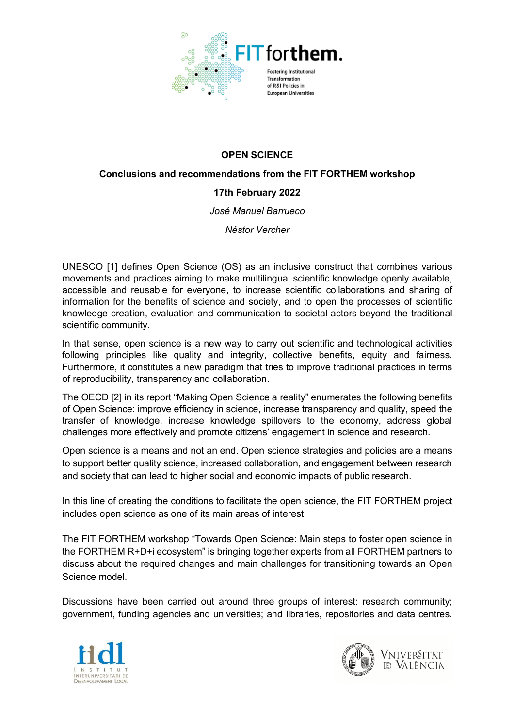

# **OPEN SCIENCE**

### **Conclusions and recommendations from the FIT FORTHEM workshop**

## **17th February 2022**

*José Manuel Barrueco*

*Néstor Vercher*

UNESCO [1] defines Open Science (OS) as an inclusive construct that combines various movements and practices aiming to make multilingual scientific knowledge openly available, accessible and reusable for everyone, to increase scientific collaborations and sharing of information for the benefits of science and society, and to open the processes of scientific knowledge creation, evaluation and communication to societal actors beyond the traditional scientific community.

In that sense, open science is a new way to carry out scientific and technological activities following principles like quality and integrity, collective benefits, equity and fairness. Furthermore, it constitutes a new paradigm that tries to improve traditional practices in terms of reproducibility, transparency and collaboration.

The OECD [2] in its report "Making Open Science a reality" enumerates the following benefits of Open Science: improve efficiency in science, increase transparency and quality, speed the transfer of knowledge, increase knowledge spillovers to the economy, address global challenges more effectively and promote citizens' engagement in science and research.

Open science is a means and not an end. Open science strategies and policies are a means to support better quality science, increased collaboration, and engagement between research and society that can lead to higher social and economic impacts of public research.

In this line of creating the conditions to facilitate the open science, the FIT FORTHEM project includes open science as one of its main areas of interest.

The FIT FORTHEM workshop "Towards Open Science: Main steps to foster open science in the FORTHEM R+D+i ecosystem" is bringing together experts from all FORTHEM partners to discuss about the required changes and main challenges for transitioning towards an Open Science model.

Discussions have been carried out around three groups of interest: research community; government, funding agencies and universities; and libraries, repositories and data centres.



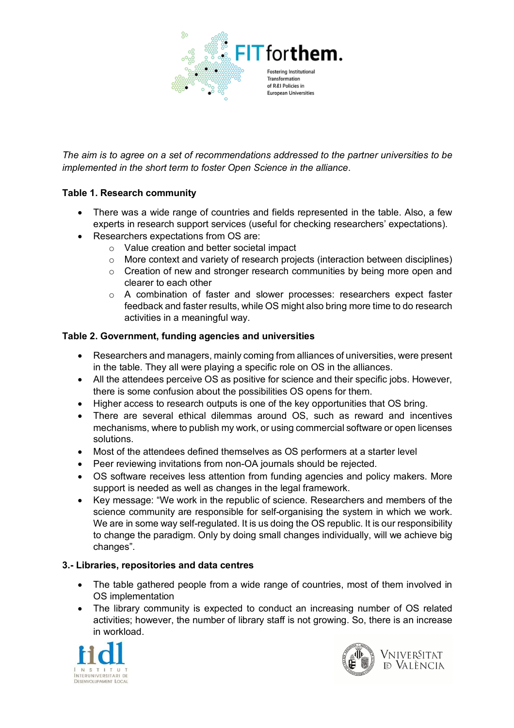

*The aim is to agree on a set of recommendations addressed to the partner universities to be implemented in the short term to foster Open Science in the alliance*.

### **Table 1. Research community**

- There was a wide range of countries and fields represented in the table. Also, a few experts in research support services (useful for checking researchers' expectations).
- Researchers expectations from OS are:
	- o Value creation and better societal impact
	- o More context and variety of research projects (interaction between disciplines)
	- $\circ$  Creation of new and stronger research communities by being more open and clearer to each other
	- o A combination of faster and slower processes: researchers expect faster feedback and faster results, while OS might also bring more time to do research activities in a meaningful way.

### **Table 2. Government, funding agencies and universities**

- Researchers and managers, mainly coming from alliances of universities, were present in the table. They all were playing a specific role on OS in the alliances.
- All the attendees perceive OS as positive for science and their specific jobs. However, there is some confusion about the possibilities OS opens for them.
- Higher access to research outputs is one of the key opportunities that OS bring.
- There are several ethical dilemmas around OS, such as reward and incentives mechanisms, where to publish my work, or using commercial software or open licenses solutions.
- Most of the attendees defined themselves as OS performers at a starter level
- Peer reviewing invitations from non-OA journals should be rejected.
- OS software receives less attention from funding agencies and policy makers. More support is needed as well as changes in the legal framework.
- Key message: "We work in the republic of science. Researchers and members of the science community are responsible for self-organising the system in which we work. We are in some way self-regulated. It is us doing the OS republic. It is our responsibility to change the paradigm. Only by doing small changes individually, will we achieve big changes".

#### **3.- Libraries, repositories and data centres**

- The table gathered people from a wide range of countries, most of them involved in OS implementation
- The library community is expected to conduct an increasing number of OS related activities; however, the number of library staff is not growing. So, there is an increase in workload.



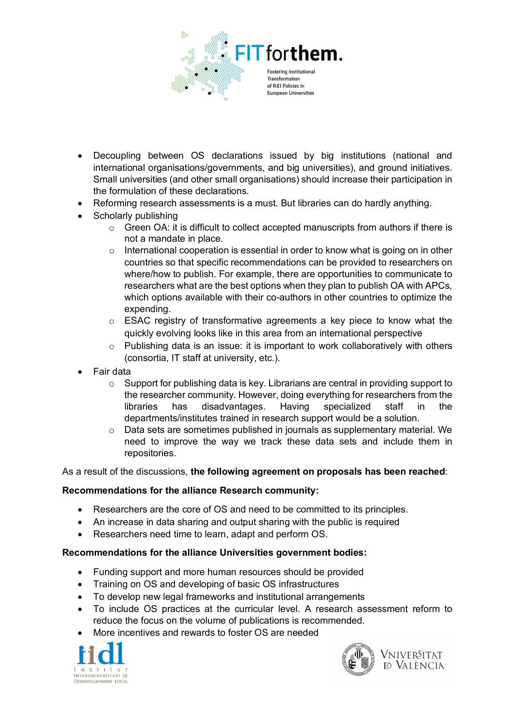

- Decoupling between OS declarations issued by big institutions (national and international organisations/governments, and big universities), and ground initiatives. Small universities (and other small organisations) should increase their participation in the formulation of these declarations.
- Reforming research assessments is a must. But libraries can do hardly anything.
- Scholarly publishing
	- $\circ$  Green OA: it is difficult to collect accepted manuscripts from authors if there is not a mandate in place.
	- o International cooperation is essential in order to know what is going on in other countries so that specific recommendations can be provided to researchers on where/how to publish. For example, there are opportunities to communicate to researchers what are the best options when they plan to publish OA with APCs, which options available with their co-authors in other countries to optimize the expending.
	- o ESAC registry of transformative agreements a key piece to know what the quickly evolving looks like in this area from an international perspective
	- $\circ$  Publishing data is an issue: it is important to work collaboratively with others (consortia, IT staff at university, etc.).
- Fair data
	- o Support for publishing data is key. Librarians are central in providing support to the researcher community. However, doing everything for researchers from the libraries has disadvantages. Having specialized staff in the departments/institutes trained in research support would be a solution.
	- o Data sets are sometimes published in journals as supplementary material. We need to improve the way we track these data sets and include them in repositories.

As a result of the discussions, **the following agreement on proposals has been reached**:

#### **Recommendations for the alliance Research community:**

- Researchers are the core of OS and need to be committed to its principles.
- An increase in data sharing and output sharing with the public is required
- Researchers need time to learn, adapt and perform OS.

## **Recommendations for the alliance Universities government bodies:**

- Funding support and more human resources should be provided
- Training on OS and developing of basic OS infrastructures
- To develop new legal frameworks and institutional arrangements
- To include OS practices at the curricular level. A research assessment reform to reduce the focus on the volume of publications is recommended.
- More incentives and rewards to foster OS are needed